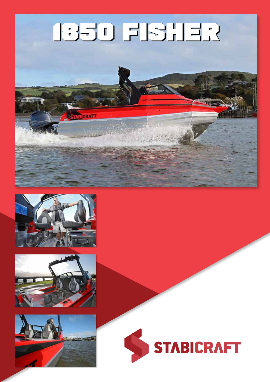#